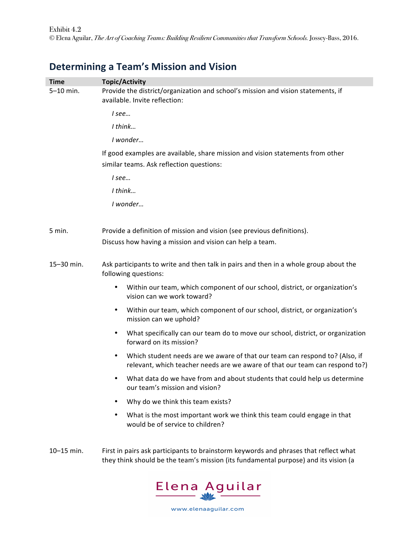## **Determining a Team's Mission and Vision**

| <b>Time</b><br>5-10 min. | <b>Topic/Activity</b><br>Provide the district/organization and school's mission and vision statements, if<br>available. Invite reflection:                                  |
|--------------------------|-----------------------------------------------------------------------------------------------------------------------------------------------------------------------------|
|                          | I see                                                                                                                                                                       |
|                          | I think                                                                                                                                                                     |
|                          | I wonder                                                                                                                                                                    |
|                          | If good examples are available, share mission and vision statements from other                                                                                              |
|                          | similar teams. Ask reflection questions:                                                                                                                                    |
|                          | I see                                                                                                                                                                       |
|                          | I think                                                                                                                                                                     |
|                          | I wonder                                                                                                                                                                    |
| 5 min.                   | Provide a definition of mission and vision (see previous definitions).                                                                                                      |
|                          | Discuss how having a mission and vision can help a team.                                                                                                                    |
| 15-30 min.               | Ask participants to write and then talk in pairs and then in a whole group about the<br>following questions:                                                                |
|                          | Within our team, which component of our school, district, or organization's<br>$\bullet$<br>vision can we work toward?                                                      |
|                          | Within our team, which component of our school, district, or organization's<br>$\bullet$<br>mission can we uphold?                                                          |
|                          | What specifically can our team do to move our school, district, or organization<br>$\bullet$<br>forward on its mission?                                                     |
|                          | Which student needs are we aware of that our team can respond to? (Also, if<br>$\bullet$<br>relevant, which teacher needs are we aware of that our team can respond to?)    |
|                          | What data do we have from and about students that could help us determine<br>our team's mission and vision?                                                                 |
|                          | Why do we think this team exists?                                                                                                                                           |
|                          | What is the most important work we think this team could engage in that<br>$\bullet$<br>would be of service to children?                                                    |
| 10-15 min.               | First in pairs ask participants to brainstorm keywords and phrases that reflect what<br>they think should be the team's mission (its fundamental purpose) and its vision (a |



www.elenaaguilar.com